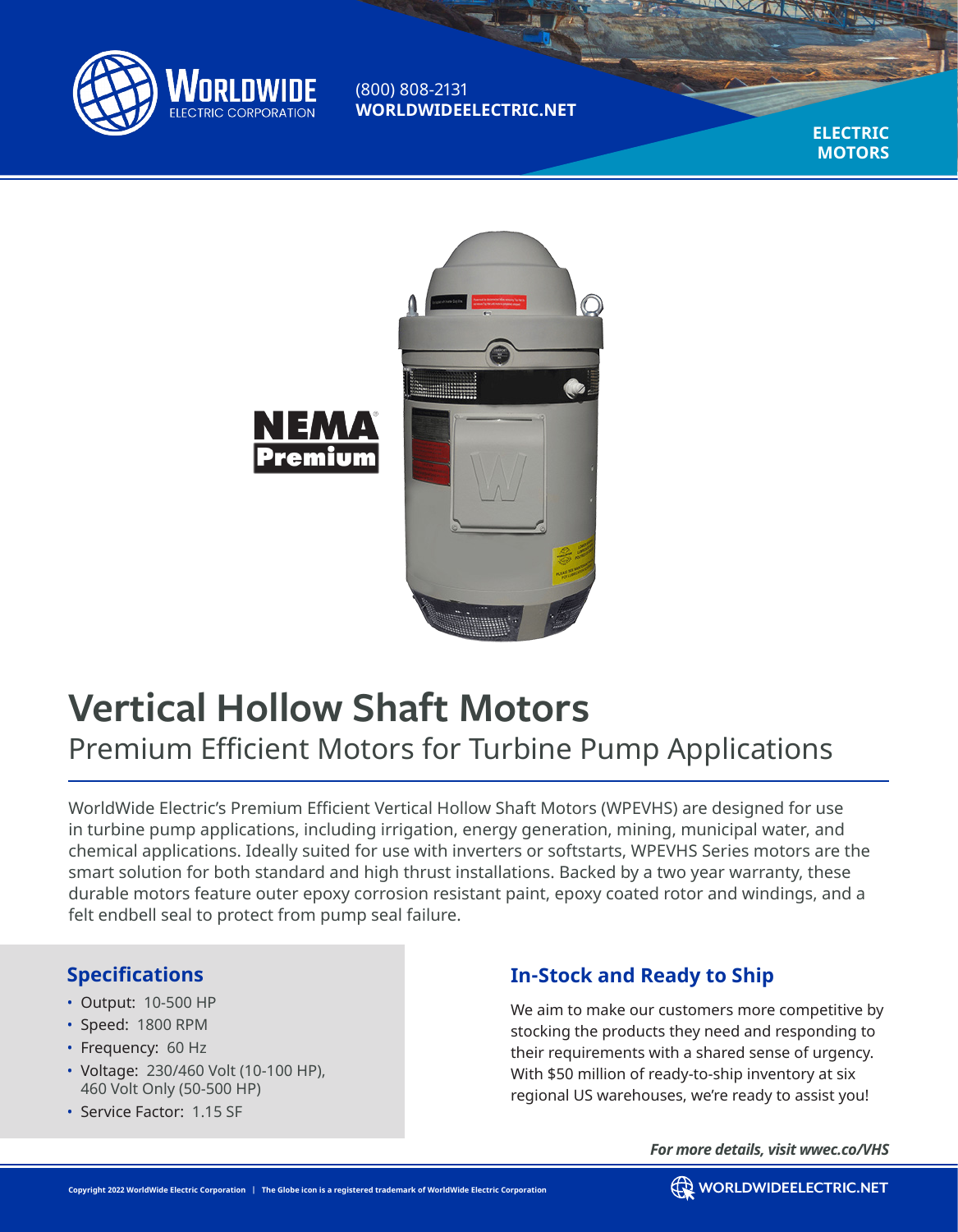

(800) 808-2131 **WORLDWIDEELECTRIC.NET**

> **ELECTRIC MOTORS**



# **Vertical Hollow Shaft Motors** Premium Efficient Motors for Turbine Pump Applications

WorldWide Electric's Premium Efficient Vertical Hollow Shaft Motors (WPEVHS) are designed for use in turbine pump applications, including irrigation, energy generation, mining, municipal water, and chemical applications. Ideally suited for use with inverters or softstarts, WPEVHS Series motors are the smart solution for both standard and high thrust installations. Backed by a two year warranty, these durable motors feature outer epoxy corrosion resistant paint, epoxy coated rotor and windings, and a felt endbell seal to protect from pump seal failure.

#### **Specifications**

- Output: 10-500 HP
- Speed: 1800 RPM
- Frequency: 60 Hz
- Voltage: 230/460 Volt (10-100 HP), 460 Volt Only (50-500 HP)
- Service Factor: 1.15 SF

# **In-Stock and Ready to Ship**

We aim to make our customers more competitive by stocking the products they need and responding to their requirements with a shared sense of urgency. With \$50 million of ready-to-ship inventory at six regional US warehouses, we're ready to assist you!

*For more details, visit wwec.co/VHS*